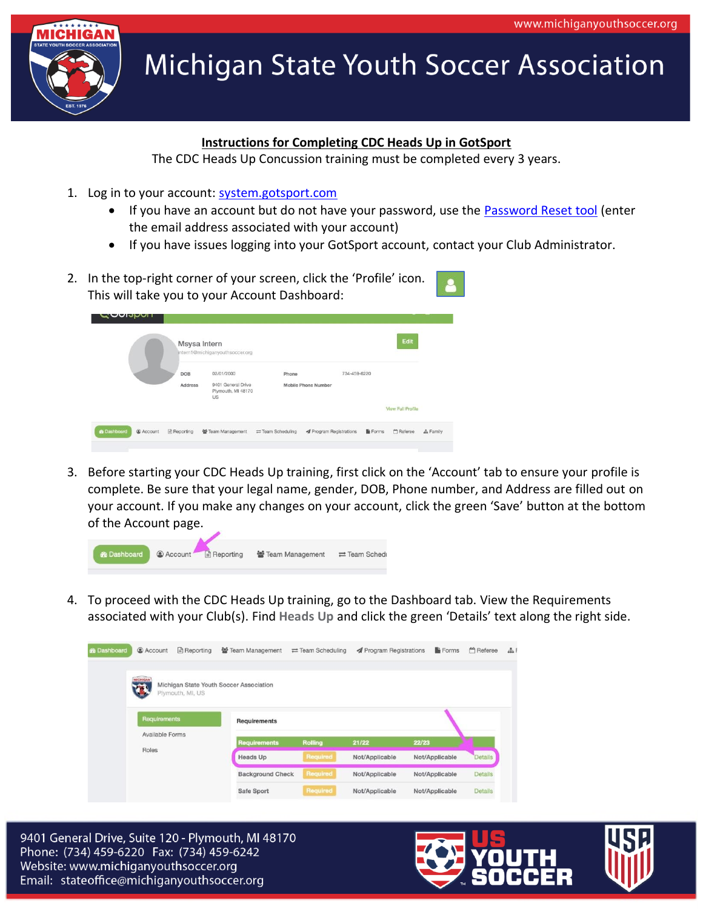

## **Michigan State Youth Soccer Association**

## **Instructions for Completing CDC Heads Up in GotSport**

The CDC Heads Up Concussion training must be completed every 3 years.

- 1. Log in to your account: [system.gotsport.com](https://system.gotsport.com/)
	- If you have an account but do not have your password, use the **Password Reset tool** (enter the email address associated with your account)
	- If you have issues logging into your GotSport account, contact your Club Administrator.
- 2. In the top-right corner of your screen, click the 'Profile' icon. This will take you to your Account Dashboard:

| - <b>POIPPOI</b>   |           | Msysa Intern<br>intern1@michiganyouthsoccer.org |                                                              |                                    |                                       |                | Edit              |          |
|--------------------|-----------|-------------------------------------------------|--------------------------------------------------------------|------------------------------------|---------------------------------------|----------------|-------------------|----------|
|                    |           | <b>DOB</b><br>Address                           | 02/01/2000<br>9401 General Drive<br>Plymouth, MI 48170<br>US | Phone                              | 734-459-6220<br>Mobile Phone Number   |                |                   |          |
|                    |           |                                                 |                                                              |                                    |                                       |                | View Full Profile |          |
| <b>2</b> Dashboard | @ Account | Reporting                                       | 警 Team Management                                            | $\rightleftarrows$ Team Scheduling | <b><i>A</i></b> Program Registrations | <b>B</b> Forms | <b>M</b> Referee  | A Family |

3. Before starting your CDC Heads Up training, first click on the 'Account' tab to ensure your profile is complete. Be sure that your legal name, gender, DOB, Phone number, and Address are filled out on your account. If you make any changes on your account, click the green 'Save' button at the bottom of the Account page.



4. To proceed with the CDC Heads Up training, go to the Dashboard tab. View the Requirements associated with your Club(s). Find **Heads Up** and click the green 'Details' text along the right side.



9401 General Drive, Suite 120 - Plymouth, MI 48170 Phone: (734) 459-6220 Fax: (734) 459-6242 Website: www.michiganyouthsoccer.org Email: stateoffice@michiganyouthsoccer.org